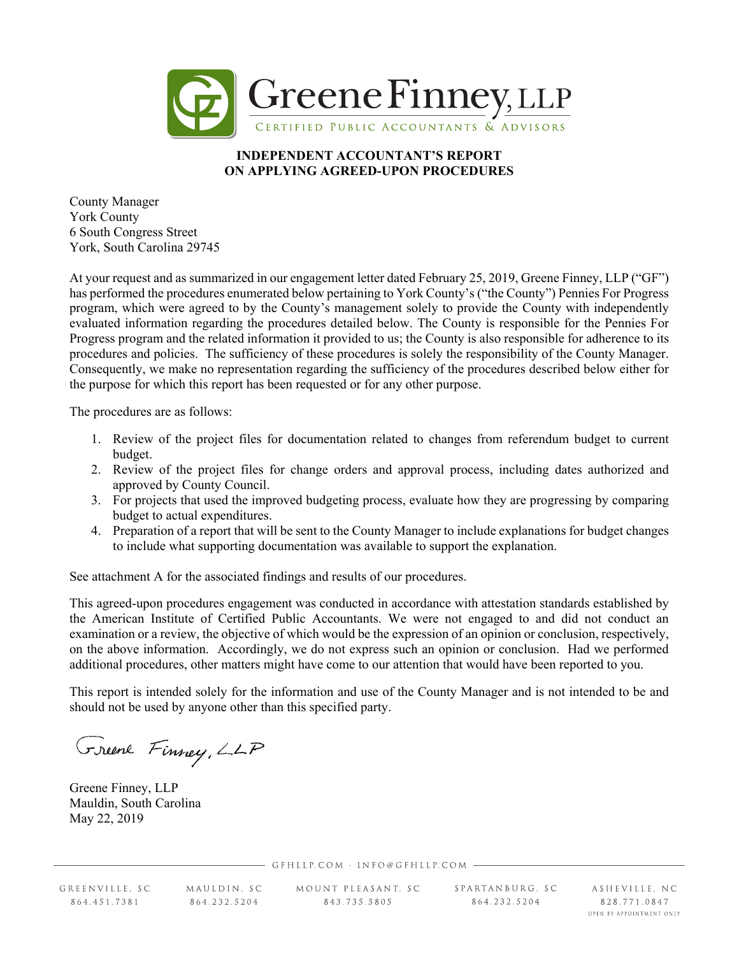

## **INDEPENDENT ACCOUNTANT'S REPORT ON APPLYING AGREED-UPON PROCEDURES**

County Manager York County 6 South Congress Street York, South Carolina 29745

At your request and as summarized in our engagement letter dated February 25, 2019, Greene Finney, LLP ("GF") has performed the procedures enumerated below pertaining to York County's ("the County") Pennies For Progress program, which were agreed to by the County's management solely to provide the County with independently evaluated information regarding the procedures detailed below. The County is responsible for the Pennies For Progress program and the related information it provided to us; the County is also responsible for adherence to its procedures and policies. The sufficiency of these procedures is solely the responsibility of the County Manager. Consequently, we make no representation regarding the sufficiency of the procedures described below either for the purpose for which this report has been requested or for any other purpose.

The procedures are as follows:

- 1. Review of the project files for documentation related to changes from referendum budget to current budget.
- 2. Review of the project files for change orders and approval process, including dates authorized and approved by County Council.
- 3. For projects that used the improved budgeting process, evaluate how they are progressing by comparing budget to actual expenditures.
- 4. Preparation of a report that will be sent to the County Manager to include explanations for budget changes to include what supporting documentation was available to support the explanation.

See attachment A for the associated findings and results of our procedures.

This agreed-upon procedures engagement was conducted in accordance with attestation standards established by the American Institute of Certified Public Accountants. We were not engaged to and did not conduct an examination or a review, the objective of which would be the expression of an opinion or conclusion, respectively, on the above information. Accordingly, we do not express such an opinion or conclusion. Had we performed additional procedures, other matters might have come to our attention that would have been reported to you.

This report is intended solely for the information and use of the County Manager and is not intended to be and should not be used by anyone other than this specified party.

Greenl Finney, LLP

Greene Finney, LLP Mauldin, South Carolina May 22, 2019

GFHLLP.COM · INFO@GFHLLP.COM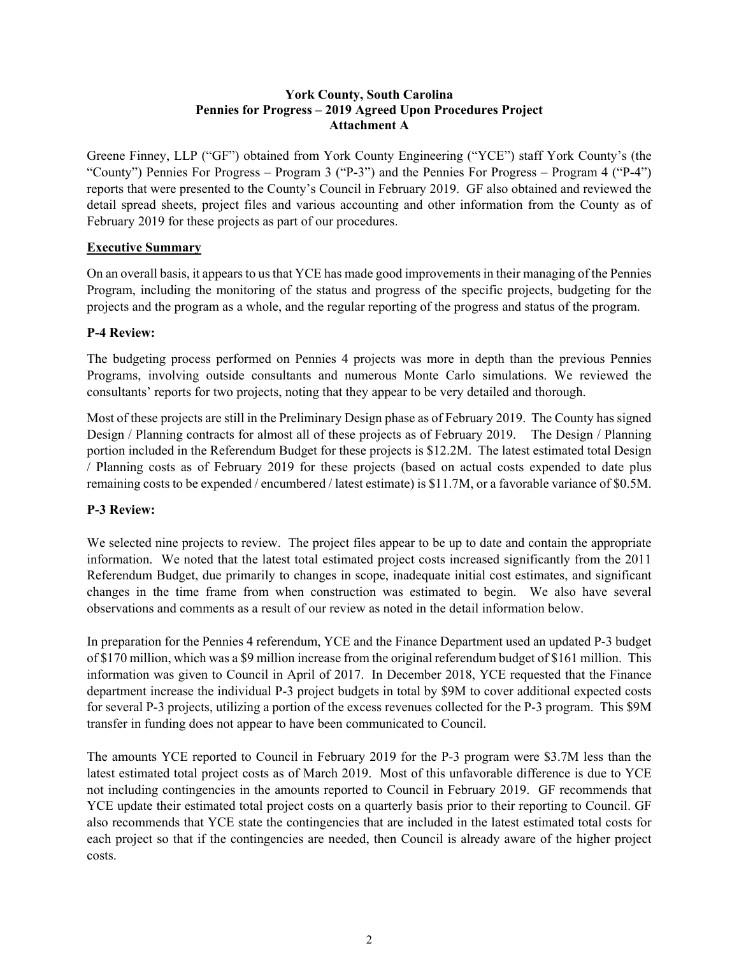## **York County, South Carolina Pennies for Progress – 2019 Agreed Upon Procedures Project Attachment A**

Greene Finney, LLP ("GF") obtained from York County Engineering ("YCE") staff York County's (the "County") Pennies For Progress – Program 3 ("P-3") and the Pennies For Progress – Program 4 ("P-4") reports that were presented to the County's Council in February 2019. GF also obtained and reviewed the detail spread sheets, project files and various accounting and other information from the County as of February 2019 for these projects as part of our procedures.

## **Executive Summary**

On an overall basis, it appears to us that YCE has made good improvements in their managing of the Pennies Program, including the monitoring of the status and progress of the specific projects, budgeting for the projects and the program as a whole, and the regular reporting of the progress and status of the program.

## **P-4 Review:**

The budgeting process performed on Pennies 4 projects was more in depth than the previous Pennies Programs, involving outside consultants and numerous Monte Carlo simulations. We reviewed the consultants' reports for two projects, noting that they appear to be very detailed and thorough.

Most of these projects are still in the Preliminary Design phase as of February 2019. The County has signed Design / Planning contracts for almost all of these projects as of February 2019. The Design / Planning portion included in the Referendum Budget for these projects is \$12.2M. The latest estimated total Design / Planning costs as of February 2019 for these projects (based on actual costs expended to date plus remaining costs to be expended / encumbered / latest estimate) is \$11.7M, or a favorable variance of \$0.5M.

# **P-3 Review:**

We selected nine projects to review. The project files appear to be up to date and contain the appropriate information. We noted that the latest total estimated project costs increased significantly from the 2011 Referendum Budget, due primarily to changes in scope, inadequate initial cost estimates, and significant changes in the time frame from when construction was estimated to begin. We also have several observations and comments as a result of our review as noted in the detail information below.

In preparation for the Pennies 4 referendum, YCE and the Finance Department used an updated P-3 budget of \$170 million, which was a \$9 million increase from the original referendum budget of \$161 million. This information was given to Council in April of 2017. In December 2018, YCE requested that the Finance department increase the individual P-3 project budgets in total by \$9M to cover additional expected costs for several P-3 projects, utilizing a portion of the excess revenues collected for the P-3 program. This \$9M transfer in funding does not appear to have been communicated to Council.

The amounts YCE reported to Council in February 2019 for the P-3 program were \$3.7M less than the latest estimated total project costs as of March 2019. Most of this unfavorable difference is due to YCE not including contingencies in the amounts reported to Council in February 2019. GF recommends that YCE update their estimated total project costs on a quarterly basis prior to their reporting to Council. GF also recommends that YCE state the contingencies that are included in the latest estimated total costs for each project so that if the contingencies are needed, then Council is already aware of the higher project costs.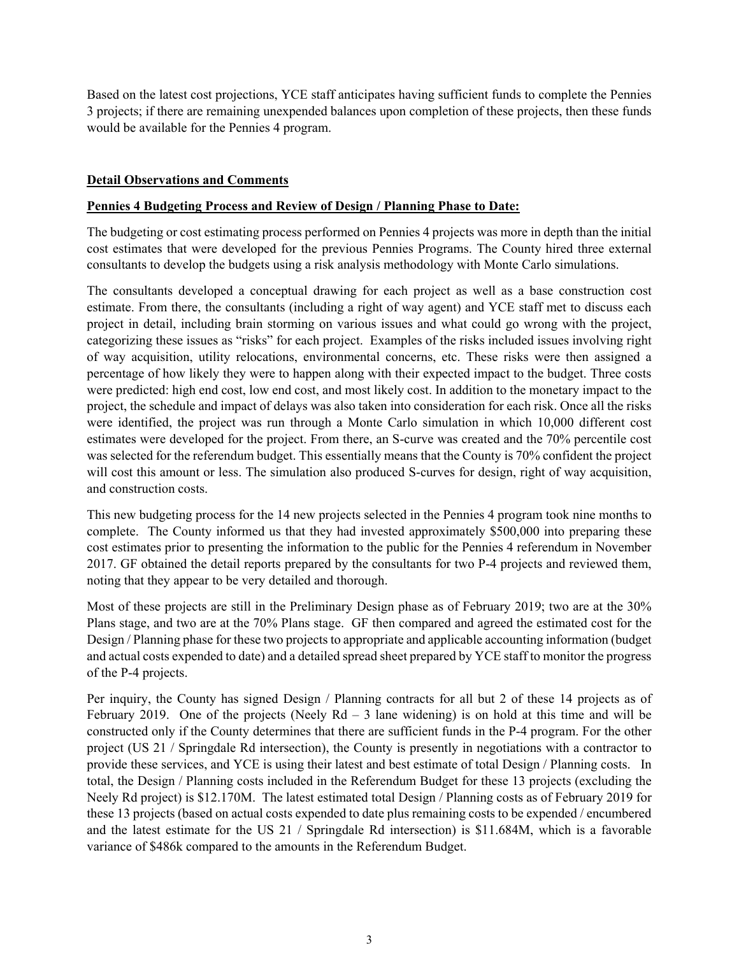Based on the latest cost projections, YCE staff anticipates having sufficient funds to complete the Pennies 3 projects; if there are remaining unexpended balances upon completion of these projects, then these funds would be available for the Pennies 4 program.

## **Detail Observations and Comments**

#### **Pennies 4 Budgeting Process and Review of Design / Planning Phase to Date:**

The budgeting or cost estimating process performed on Pennies 4 projects was more in depth than the initial cost estimates that were developed for the previous Pennies Programs. The County hired three external consultants to develop the budgets using a risk analysis methodology with Monte Carlo simulations.

The consultants developed a conceptual drawing for each project as well as a base construction cost estimate. From there, the consultants (including a right of way agent) and YCE staff met to discuss each project in detail, including brain storming on various issues and what could go wrong with the project, categorizing these issues as "risks" for each project. Examples of the risks included issues involving right of way acquisition, utility relocations, environmental concerns, etc. These risks were then assigned a percentage of how likely they were to happen along with their expected impact to the budget. Three costs were predicted: high end cost, low end cost, and most likely cost. In addition to the monetary impact to the project, the schedule and impact of delays was also taken into consideration for each risk. Once all the risks were identified, the project was run through a Monte Carlo simulation in which 10,000 different cost estimates were developed for the project. From there, an S-curve was created and the 70% percentile cost was selected for the referendum budget. This essentially means that the County is 70% confident the project will cost this amount or less. The simulation also produced S-curves for design, right of way acquisition, and construction costs.

This new budgeting process for the 14 new projects selected in the Pennies 4 program took nine months to complete. The County informed us that they had invested approximately \$500,000 into preparing these cost estimates prior to presenting the information to the public for the Pennies 4 referendum in November 2017. GF obtained the detail reports prepared by the consultants for two P-4 projects and reviewed them, noting that they appear to be very detailed and thorough.

Most of these projects are still in the Preliminary Design phase as of February 2019; two are at the 30% Plans stage, and two are at the 70% Plans stage. GF then compared and agreed the estimated cost for the Design / Planning phase for these two projects to appropriate and applicable accounting information (budget and actual costs expended to date) and a detailed spread sheet prepared by YCE staff to monitor the progress of the P-4 projects.

Per inquiry, the County has signed Design / Planning contracts for all but 2 of these 14 projects as of February 2019. One of the projects (Neely  $Rd - 3$  lane widening) is on hold at this time and will be constructed only if the County determines that there are sufficient funds in the P-4 program. For the other project (US 21 / Springdale Rd intersection), the County is presently in negotiations with a contractor to provide these services, and YCE is using their latest and best estimate of total Design / Planning costs. In total, the Design / Planning costs included in the Referendum Budget for these 13 projects (excluding the Neely Rd project) is \$12.170M. The latest estimated total Design / Planning costs as of February 2019 for these 13 projects (based on actual costs expended to date plus remaining costs to be expended / encumbered and the latest estimate for the US 21 / Springdale Rd intersection) is \$11.684M, which is a favorable variance of \$486k compared to the amounts in the Referendum Budget.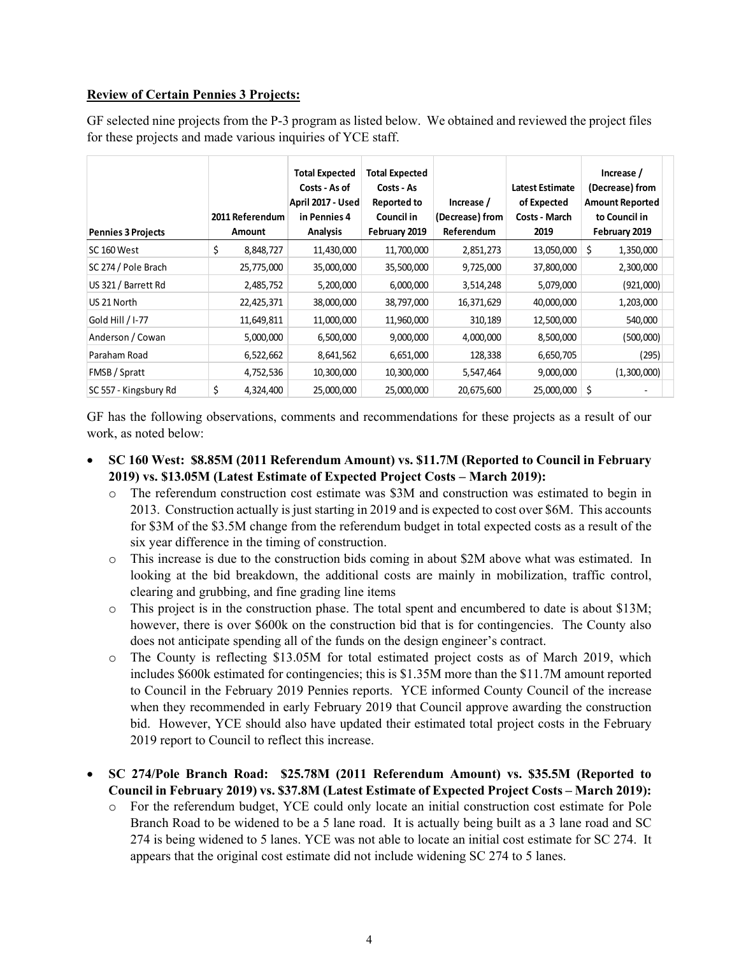## **Review of Certain Pennies 3 Projects:**

GF selected nine projects from the P-3 program as listed below. We obtained and reviewed the project files for these projects and made various inquiries of YCE staff.

| <b>Pennies 3 Projects</b> | 2011 Referendum<br>Amount | <b>Total Expected</b><br>Costs - As of<br>April 2017 - Used<br>in Pennies 4<br>Analysis | <b>Total Expected</b><br>Costs - As<br><b>Reported to</b><br>Council in<br>February 2019 | Increase /<br>(Decrease) from<br>Referendum | <b>Latest Estimate</b><br>of Expected<br><b>Costs - March</b><br>2019 | Increase /<br>(Decrease) from<br><b>Amount Reported</b><br>to Council in<br>February 2019 |  |
|---------------------------|---------------------------|-----------------------------------------------------------------------------------------|------------------------------------------------------------------------------------------|---------------------------------------------|-----------------------------------------------------------------------|-------------------------------------------------------------------------------------------|--|
| SC 160 West               | \$<br>8,848,727           | 11,430,000                                                                              | 11,700,000                                                                               | 2,851,273                                   | 13,050,000                                                            | \$<br>1,350,000                                                                           |  |
| SC 274 / Pole Brach       | 25,775,000                | 35,000,000                                                                              | 35,500,000                                                                               | 9,725,000                                   | 37,800,000                                                            | 2,300,000                                                                                 |  |
| US 321 / Barrett Rd       | 2,485,752                 | 5,200,000                                                                               | 6,000,000                                                                                | 3,514,248                                   | 5,079,000                                                             | (921,000)                                                                                 |  |
| US 21 North               | 22,425,371                | 38,000,000                                                                              | 38,797,000                                                                               | 16,371,629                                  | 40,000,000                                                            | 1,203,000                                                                                 |  |
| Gold Hill / I-77          | 11,649,811                | 11,000,000                                                                              | 11,960,000                                                                               | 310,189                                     | 12,500,000                                                            | 540,000                                                                                   |  |
| Anderson / Cowan          | 5,000,000                 | 6,500,000                                                                               | 9,000,000                                                                                | 4,000,000                                   | 8,500,000                                                             | (500,000)                                                                                 |  |
| Paraham Road              | 6,522,662                 | 8,641,562                                                                               | 6,651,000                                                                                | 128,338                                     | 6,650,705                                                             | (295)                                                                                     |  |
| FMSB / Spratt             | 4,752,536                 | 10,300,000                                                                              | 10,300,000                                                                               | 5,547,464                                   | 9,000,000                                                             | (1,300,000)                                                                               |  |
| SC 557 - Kingsbury Rd     | \$<br>4,324,400           | 25,000,000                                                                              | 25,000,000                                                                               | 20,675,600                                  | 25,000,000                                                            | \$                                                                                        |  |

GF has the following observations, comments and recommendations for these projects as a result of our work, as noted below:

- **SC 160 West: \$8.85M (2011 Referendum Amount) vs. \$11.7M (Reported to Council in February 2019) vs. \$13.05M (Latest Estimate of Expected Project Costs – March 2019):**
	- o The referendum construction cost estimate was \$3M and construction was estimated to begin in 2013. Construction actually is just starting in 2019 and is expected to cost over \$6M. This accounts for \$3M of the \$3.5M change from the referendum budget in total expected costs as a result of the six year difference in the timing of construction.
	- o This increase is due to the construction bids coming in about \$2M above what was estimated. In looking at the bid breakdown, the additional costs are mainly in mobilization, traffic control, clearing and grubbing, and fine grading line items
	- o This project is in the construction phase. The total spent and encumbered to date is about \$13M; however, there is over \$600k on the construction bid that is for contingencies. The County also does not anticipate spending all of the funds on the design engineer's contract.
	- o The County is reflecting \$13.05M for total estimated project costs as of March 2019, which includes \$600k estimated for contingencies; this is \$1.35M more than the \$11.7M amount reported to Council in the February 2019 Pennies reports. YCE informed County Council of the increase when they recommended in early February 2019 that Council approve awarding the construction bid. However, YCE should also have updated their estimated total project costs in the February 2019 report to Council to reflect this increase.

 **SC 274/Pole Branch Road: \$25.78M (2011 Referendum Amount) vs. \$35.5M (Reported to Council in February 2019) vs. \$37.8M (Latest Estimate of Expected Project Costs – March 2019):**

o For the referendum budget, YCE could only locate an initial construction cost estimate for Pole Branch Road to be widened to be a 5 lane road. It is actually being built as a 3 lane road and SC 274 is being widened to 5 lanes. YCE was not able to locate an initial cost estimate for SC 274. It appears that the original cost estimate did not include widening SC 274 to 5 lanes.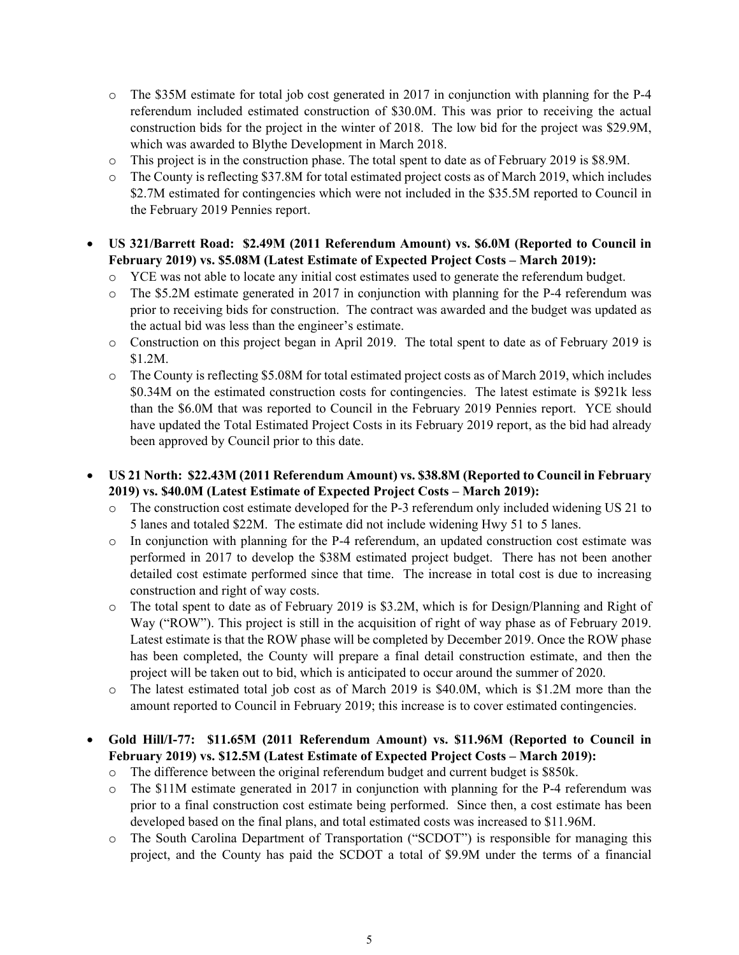- o The \$35M estimate for total job cost generated in 2017 in conjunction with planning for the P-4 referendum included estimated construction of \$30.0M. This was prior to receiving the actual construction bids for the project in the winter of 2018. The low bid for the project was \$29.9M, which was awarded to Blythe Development in March 2018.
- o This project is in the construction phase. The total spent to date as of February 2019 is \$8.9M.
- o The County is reflecting \$37.8M for total estimated project costs as of March 2019, which includes \$2.7M estimated for contingencies which were not included in the \$35.5M reported to Council in the February 2019 Pennies report.
- **US 321/Barrett Road: \$2.49M (2011 Referendum Amount) vs. \$6.0M (Reported to Council in February 2019) vs. \$5.08M (Latest Estimate of Expected Project Costs – March 2019):**
	- o YCE was not able to locate any initial cost estimates used to generate the referendum budget.
	- o The \$5.2M estimate generated in 2017 in conjunction with planning for the P-4 referendum was prior to receiving bids for construction. The contract was awarded and the budget was updated as the actual bid was less than the engineer's estimate.
	- o Construction on this project began in April 2019. The total spent to date as of February 2019 is \$1.2M.
	- o The County is reflecting \$5.08M for total estimated project costs as of March 2019, which includes \$0.34M on the estimated construction costs for contingencies. The latest estimate is \$921k less than the \$6.0M that was reported to Council in the February 2019 Pennies report. YCE should have updated the Total Estimated Project Costs in its February 2019 report, as the bid had already been approved by Council prior to this date.
- **US 21 North: \$22.43M (2011 Referendum Amount) vs. \$38.8M (Reported to Council in February 2019) vs. \$40.0M (Latest Estimate of Expected Project Costs – March 2019):**
	- o The construction cost estimate developed for the P-3 referendum only included widening US 21 to 5 lanes and totaled \$22M. The estimate did not include widening Hwy 51 to 5 lanes.
	- o In conjunction with planning for the P-4 referendum, an updated construction cost estimate was performed in 2017 to develop the \$38M estimated project budget. There has not been another detailed cost estimate performed since that time. The increase in total cost is due to increasing construction and right of way costs.
	- o The total spent to date as of February 2019 is \$3.2M, which is for Design/Planning and Right of Way ("ROW"). This project is still in the acquisition of right of way phase as of February 2019. Latest estimate is that the ROW phase will be completed by December 2019. Once the ROW phase has been completed, the County will prepare a final detail construction estimate, and then the project will be taken out to bid, which is anticipated to occur around the summer of 2020.
	- o The latest estimated total job cost as of March 2019 is \$40.0M, which is \$1.2M more than the amount reported to Council in February 2019; this increase is to cover estimated contingencies.
- **Gold Hill/I-77: \$11.65M (2011 Referendum Amount) vs. \$11.96M (Reported to Council in February 2019) vs. \$12.5M (Latest Estimate of Expected Project Costs – March 2019):**
	- o The difference between the original referendum budget and current budget is \$850k.
	- o The \$11M estimate generated in 2017 in conjunction with planning for the P-4 referendum was prior to a final construction cost estimate being performed. Since then, a cost estimate has been developed based on the final plans, and total estimated costs was increased to \$11.96M.
	- o The South Carolina Department of Transportation ("SCDOT") is responsible for managing this project, and the County has paid the SCDOT a total of \$9.9M under the terms of a financial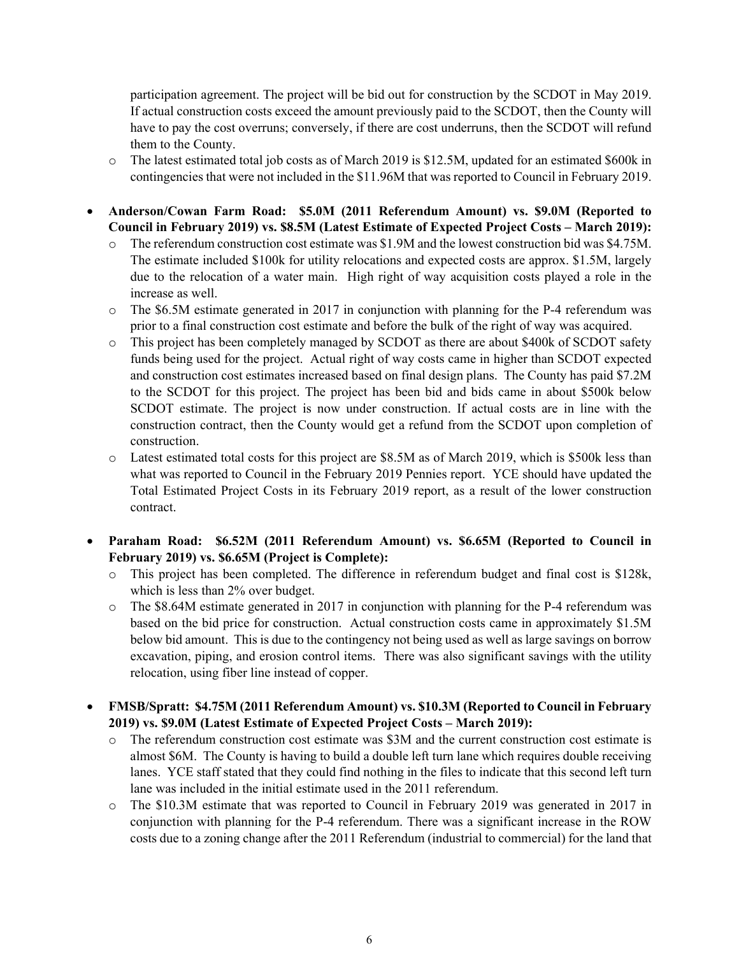participation agreement. The project will be bid out for construction by the SCDOT in May 2019. If actual construction costs exceed the amount previously paid to the SCDOT, then the County will have to pay the cost overruns; conversely, if there are cost underruns, then the SCDOT will refund them to the County.

- o The latest estimated total job costs as of March 2019 is \$12.5M, updated for an estimated \$600k in contingencies that were not included in the \$11.96M that was reported to Council in February 2019.
- **Anderson/Cowan Farm Road: \$5.0M (2011 Referendum Amount) vs. \$9.0M (Reported to Council in February 2019) vs. \$8.5M (Latest Estimate of Expected Project Costs – March 2019):**
	- o The referendum construction cost estimate was \$1.9M and the lowest construction bid was \$4.75M. The estimate included \$100k for utility relocations and expected costs are approx. \$1.5M, largely due to the relocation of a water main. High right of way acquisition costs played a role in the increase as well.
	- o The \$6.5M estimate generated in 2017 in conjunction with planning for the P-4 referendum was prior to a final construction cost estimate and before the bulk of the right of way was acquired.
	- o This project has been completely managed by SCDOT as there are about \$400k of SCDOT safety funds being used for the project. Actual right of way costs came in higher than SCDOT expected and construction cost estimates increased based on final design plans. The County has paid \$7.2M to the SCDOT for this project. The project has been bid and bids came in about \$500k below SCDOT estimate. The project is now under construction. If actual costs are in line with the construction contract, then the County would get a refund from the SCDOT upon completion of construction.
	- o Latest estimated total costs for this project are \$8.5M as of March 2019, which is \$500k less than what was reported to Council in the February 2019 Pennies report. YCE should have updated the Total Estimated Project Costs in its February 2019 report, as a result of the lower construction contract.
- **Paraham Road: \$6.52M (2011 Referendum Amount) vs. \$6.65M (Reported to Council in February 2019) vs. \$6.65M (Project is Complete):**
	- o This project has been completed. The difference in referendum budget and final cost is \$128k, which is less than 2% over budget.
	- $\circ$  The \$8.64M estimate generated in 2017 in conjunction with planning for the P-4 referendum was based on the bid price for construction. Actual construction costs came in approximately \$1.5M below bid amount. This is due to the contingency not being used as well as large savings on borrow excavation, piping, and erosion control items. There was also significant savings with the utility relocation, using fiber line instead of copper.

# **FMSB/Spratt: \$4.75M (2011 Referendum Amount) vs. \$10.3M (Reported to Council in February 2019) vs. \$9.0M (Latest Estimate of Expected Project Costs – March 2019):**

- o The referendum construction cost estimate was \$3M and the current construction cost estimate is almost \$6M. The County is having to build a double left turn lane which requires double receiving lanes. YCE staff stated that they could find nothing in the files to indicate that this second left turn lane was included in the initial estimate used in the 2011 referendum.
- o The \$10.3M estimate that was reported to Council in February 2019 was generated in 2017 in conjunction with planning for the P-4 referendum. There was a significant increase in the ROW costs due to a zoning change after the 2011 Referendum (industrial to commercial) for the land that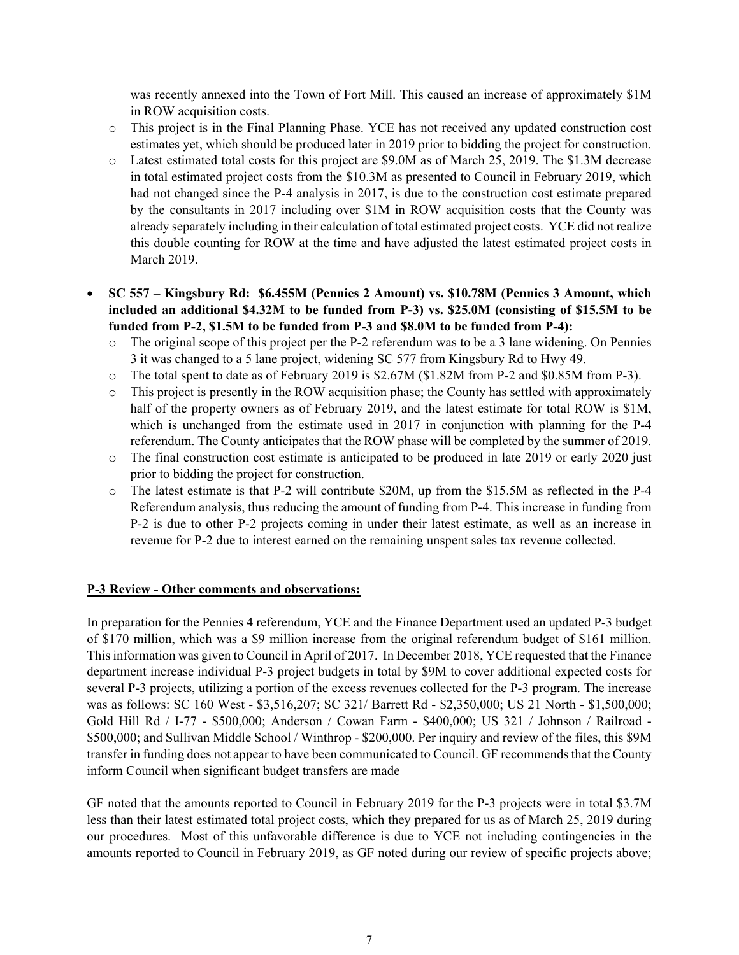was recently annexed into the Town of Fort Mill. This caused an increase of approximately \$1M in ROW acquisition costs.

- o This project is in the Final Planning Phase. YCE has not received any updated construction cost estimates yet, which should be produced later in 2019 prior to bidding the project for construction.
- o Latest estimated total costs for this project are \$9.0M as of March 25, 2019. The \$1.3M decrease in total estimated project costs from the \$10.3M as presented to Council in February 2019, which had not changed since the P-4 analysis in 2017, is due to the construction cost estimate prepared by the consultants in 2017 including over \$1M in ROW acquisition costs that the County was already separately including in their calculation of total estimated project costs. YCE did not realize this double counting for ROW at the time and have adjusted the latest estimated project costs in March 2019.
- **SC 557 Kingsbury Rd: \$6.455M (Pennies 2 Amount) vs. \$10.78M (Pennies 3 Amount, which included an additional \$4.32M to be funded from P-3) vs. \$25.0M (consisting of \$15.5M to be funded from P-2, \$1.5M to be funded from P-3 and \$8.0M to be funded from P-4):**
	- o The original scope of this project per the P-2 referendum was to be a 3 lane widening. On Pennies 3 it was changed to a 5 lane project, widening SC 577 from Kingsbury Rd to Hwy 49.
	- o The total spent to date as of February 2019 is \$2.67M (\$1.82M from P-2 and \$0.85M from P-3).
	- o This project is presently in the ROW acquisition phase; the County has settled with approximately half of the property owners as of February 2019, and the latest estimate for total ROW is \$1M, which is unchanged from the estimate used in 2017 in conjunction with planning for the P-4 referendum. The County anticipates that the ROW phase will be completed by the summer of 2019.
	- o The final construction cost estimate is anticipated to be produced in late 2019 or early 2020 just prior to bidding the project for construction.
	- o The latest estimate is that P-2 will contribute \$20M, up from the \$15.5M as reflected in the P-4 Referendum analysis, thus reducing the amount of funding from P-4. This increase in funding from P-2 is due to other P-2 projects coming in under their latest estimate, as well as an increase in revenue for P-2 due to interest earned on the remaining unspent sales tax revenue collected.

## **P-3 Review - Other comments and observations:**

In preparation for the Pennies 4 referendum, YCE and the Finance Department used an updated P-3 budget of \$170 million, which was a \$9 million increase from the original referendum budget of \$161 million. This information was given to Council in April of 2017. In December 2018, YCE requested that the Finance department increase individual P-3 project budgets in total by \$9M to cover additional expected costs for several P-3 projects, utilizing a portion of the excess revenues collected for the P-3 program. The increase was as follows: SC 160 West - \$3,516,207; SC 321/ Barrett Rd - \$2,350,000; US 21 North - \$1,500,000; Gold Hill Rd / I-77 - \$500,000; Anderson / Cowan Farm - \$400,000; US 321 / Johnson / Railroad - \$500,000; and Sullivan Middle School / Winthrop - \$200,000. Per inquiry and review of the files, this \$9M transfer in funding does not appear to have been communicated to Council. GF recommends that the County inform Council when significant budget transfers are made

GF noted that the amounts reported to Council in February 2019 for the P-3 projects were in total \$3.7M less than their latest estimated total project costs, which they prepared for us as of March 25, 2019 during our procedures. Most of this unfavorable difference is due to YCE not including contingencies in the amounts reported to Council in February 2019, as GF noted during our review of specific projects above;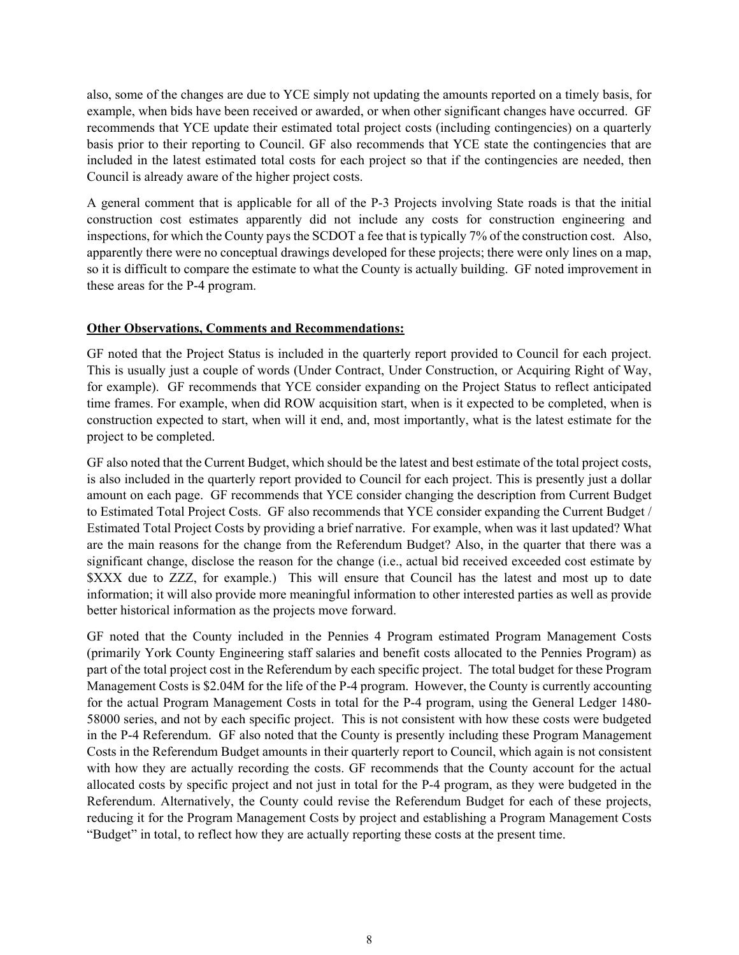also, some of the changes are due to YCE simply not updating the amounts reported on a timely basis, for example, when bids have been received or awarded, or when other significant changes have occurred. GF recommends that YCE update their estimated total project costs (including contingencies) on a quarterly basis prior to their reporting to Council. GF also recommends that YCE state the contingencies that are included in the latest estimated total costs for each project so that if the contingencies are needed, then Council is already aware of the higher project costs.

A general comment that is applicable for all of the P-3 Projects involving State roads is that the initial construction cost estimates apparently did not include any costs for construction engineering and inspections, for which the County pays the SCDOT a fee that is typically 7% of the construction cost. Also, apparently there were no conceptual drawings developed for these projects; there were only lines on a map, so it is difficult to compare the estimate to what the County is actually building. GF noted improvement in these areas for the P-4 program.

## **Other Observations, Comments and Recommendations:**

GF noted that the Project Status is included in the quarterly report provided to Council for each project. This is usually just a couple of words (Under Contract, Under Construction, or Acquiring Right of Way, for example). GF recommends that YCE consider expanding on the Project Status to reflect anticipated time frames. For example, when did ROW acquisition start, when is it expected to be completed, when is construction expected to start, when will it end, and, most importantly, what is the latest estimate for the project to be completed.

GF also noted that the Current Budget, which should be the latest and best estimate of the total project costs, is also included in the quarterly report provided to Council for each project. This is presently just a dollar amount on each page. GF recommends that YCE consider changing the description from Current Budget to Estimated Total Project Costs. GF also recommends that YCE consider expanding the Current Budget / Estimated Total Project Costs by providing a brief narrative. For example, when was it last updated? What are the main reasons for the change from the Referendum Budget? Also, in the quarter that there was a significant change, disclose the reason for the change (i.e., actual bid received exceeded cost estimate by \$XXX due to ZZZ, for example.) This will ensure that Council has the latest and most up to date information; it will also provide more meaningful information to other interested parties as well as provide better historical information as the projects move forward.

GF noted that the County included in the Pennies 4 Program estimated Program Management Costs (primarily York County Engineering staff salaries and benefit costs allocated to the Pennies Program) as part of the total project cost in the Referendum by each specific project. The total budget for these Program Management Costs is \$2.04M for the life of the P-4 program. However, the County is currently accounting for the actual Program Management Costs in total for the P-4 program, using the General Ledger 1480- 58000 series, and not by each specific project. This is not consistent with how these costs were budgeted in the P-4 Referendum. GF also noted that the County is presently including these Program Management Costs in the Referendum Budget amounts in their quarterly report to Council, which again is not consistent with how they are actually recording the costs. GF recommends that the County account for the actual allocated costs by specific project and not just in total for the P-4 program, as they were budgeted in the Referendum. Alternatively, the County could revise the Referendum Budget for each of these projects, reducing it for the Program Management Costs by project and establishing a Program Management Costs "Budget" in total, to reflect how they are actually reporting these costs at the present time.